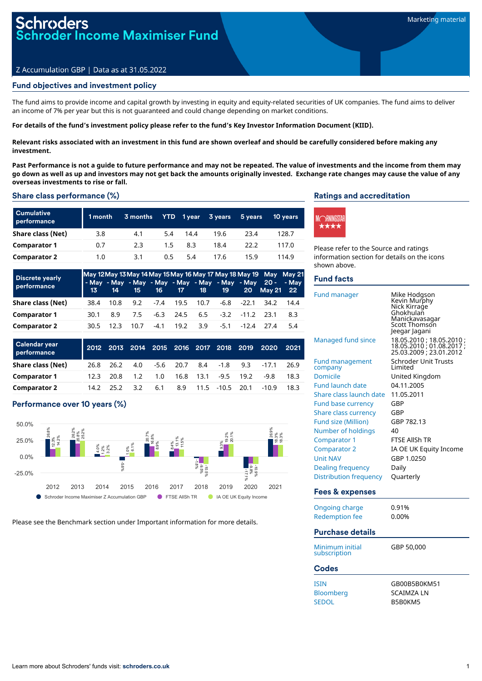# ler Income Maximiser Fund

# Z Accumulation GBP | Data as at 31.05.2022

# Fund objectives and investment policy

The fund aims to provide income and capital growth by investing in equity and equity-related securities of UK companies. The fund aims to deliver an income of 7% per year but this is not guaranteed and could change depending on market conditions.

#### For details of the fund's investment policy please refer to the fund's Key Investor Information Document (KIID).

Relevant risks associated with an investment in this fund are shown overleaf and should be carefully considered before making any **investment.**

Past Performance is not a quide to future performance and may not be repeated. The value of investments and the income from them may go down as well as up and investors may not get back the amounts originally invested. Exchange rate changes may cause the value of any **overseas investments to rise or fall.**

#### Share class performance (%)

| <b>Cumulative</b><br>performance | 1 month | 3 months | YTD . | $1$ year | 3 years | 5 years | <b>10 years</b> |
|----------------------------------|---------|----------|-------|----------|---------|---------|-----------------|
| Share class (Net)                | 3.8     | 4.1      | 5.4   | 14.4     | 19.6    | 23.4    | 128.7           |
| <b>Comparator 1</b>              | 0.7     | 2.3      | 1.5   | 8.3      | 18.4    | 22.2    | 117.0           |
| <b>Comparator 2</b>              | 1.0     | 3.1      | 0.5   | 5.4      | 17.6    | 15.9    | 114.9           |

| <b>Discrete yearly</b><br>performance |       |      |       |        |             |          |                                       |                       | May 12 May 13 May 14 May 15 May 16 May 17 May 18 May 19 May May 21<br>- May - May - May - May - May - May - May - May 20 - - May |      |
|---------------------------------------|-------|------|-------|--------|-------------|----------|---------------------------------------|-----------------------|----------------------------------------------------------------------------------------------------------------------------------|------|
|                                       | $13-$ | 14   | $-15$ |        | 16 17 18    |          | 19                                    |                       | 20 May 21 22                                                                                                                     |      |
| Share class (Net)                     | 38.4  | 10.8 | 9.2   |        | -7.4 19.5   | 10.7     |                                       | $-6.8$ $-22.1$ $34.2$ |                                                                                                                                  | 14.4 |
| <b>Comparator 1</b>                   | 30.1  | 8.9  | 7.5   |        | $-6.3$ 24.5 |          | $6.5 \quad 3.2 \quad 11.2 \quad 23.1$ |                       |                                                                                                                                  | 8.3  |
| <b>Comparator 2</b>                   | 30.5  | 12.3 | 10.7  | $-4.1$ |             | 19.2 3.9 |                                       | $-5.1$ $-12.4$ $27.4$ |                                                                                                                                  | 5.4  |

| <b>Calendar year</b><br>performance |      |           | 2012 2013 2014 2015 2016 2017 2018 2019 |     |                    |        |      | 2020    | 2021 |
|-------------------------------------|------|-----------|-----------------------------------------|-----|--------------------|--------|------|---------|------|
| Share class (Net)                   | 26.8 | 26.2      | 4.0                                     |     | -5.6 20.7 8.4 -1.8 |        | 9.3  | $-17.1$ | 26.9 |
| <b>Comparator 1</b>                 | 12.3 | 20.8      | $1.2^{\circ}$                           | 1.0 | 16.8 13.1          | $-9.5$ | 19.2 | -9.8    | 18.3 |
| <b>Comparator 2</b>                 |      | 14.2 25.2 | 3.2                                     | 6.1 |                    |        |      | $-10.9$ | 18.3 |

# Performance over 10 years (%)



Please see the Benchmark section under Important information for more details.

# Ratings and accreditation



Please refer to the Source and ratings information section for details on the icons shown above.

## Fund facts

| Fund manager                      | Mike Hodgson<br>Kevin Murphy<br>Nick Kirrage<br>Ghokhulañ<br>Manickavasagar<br>Scott Thomson<br>Jeegar Jagani |
|-----------------------------------|---------------------------------------------------------------------------------------------------------------|
| Managed fund since                | 18.05.2010; 18.05.2010;<br>18.05.2010 ; 01.08.2017 ;<br>25.03.2009 ; 23.01.2012                               |
| <b>Fund management</b><br>company | Schroder Unit Trusts<br>I imited                                                                              |
| <b>Domicile</b>                   | United Kingdom                                                                                                |
| <b>Fund launch date</b>           | 04.11.2005                                                                                                    |
| Share class launch date           | 11.05.2011                                                                                                    |
| Fund base currency                | GBP                                                                                                           |
| Share class currency              | GBP                                                                                                           |
| Fund size (Million)               | GBP 782.13                                                                                                    |
| Number of holdings                | 40                                                                                                            |
| Comparator 1                      | <b>FTSF AllSh TR</b>                                                                                          |
| <b>Comparator 2</b>               | IA OE UK Equity Income                                                                                        |
| <b>Unit NAV</b>                   | GBP 1.0250                                                                                                    |
| Dealing frequency                 | Daily                                                                                                         |
| Distribution frequency            | Quarterly                                                                                                     |
| <b>Fees &amp; expenses</b>        |                                                                                                               |

| Ongoing charge<br><b>Redemption fee</b>  | 0.91%<br>0.00%                               |  |  |  |  |
|------------------------------------------|----------------------------------------------|--|--|--|--|
| Purchase details                         |                                              |  |  |  |  |
| Minimum initial<br>subscription          | GBP 50,000                                   |  |  |  |  |
| Codes                                    |                                              |  |  |  |  |
| ISIN<br><b>Bloomberg</b><br><b>SEDOL</b> | GB00B5B0KM51<br><b>SCAIMZA LN</b><br>B5B0KM5 |  |  |  |  |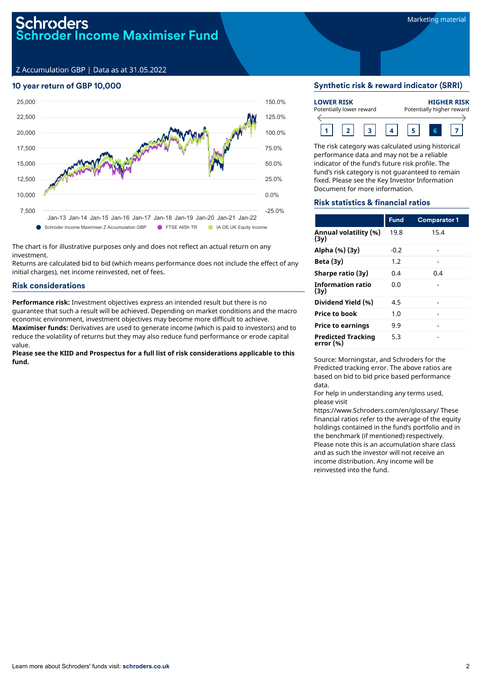Z Accumulation GBP | Data as at 31.05.2022

# 10 year return of GBP 10,000



The chart is for illustrative purposes only and does not reflect an actual return on any investment.

Returns are calculated bid to bid (which means performance does not include the effect of any initial charges), net income reinvested, net of fees.

# Risk considerations

**Performance risk:** Investment objectives express an intended result but there is no guarantee that such a result will be achieved. Depending on market conditions and the macro economic environment, investment objectives may become more difficult to achieve. **Maximiser funds:** Derivatives are used to generate income (which is paid to investors) and to reduce the volatility of returns but they may also reduce fund performance or erode capital

value.

**Please see the KIID and Prospectus for a full list of risk considerations applicable to this fund.**

# Synthetic risk & reward indicator (SRRI)

| <b>LOWER RISK</b><br>Potentially lower reward |  |  |  |  |  |  | <b>HIGHER RISK</b><br>Potentially higher reward |  |  |  |
|-----------------------------------------------|--|--|--|--|--|--|-------------------------------------------------|--|--|--|
|                                               |  |  |  |  |  |  |                                                 |  |  |  |

The risk category was calculated using historical performance data and may not be a reliable indicator of the fund's future risk profile. The fund's risk category is not guaranteed to remain fixed. Please see the Key Investor Information Document for more information.

# Risk statistics & financial ratios

|                                        | <b>Fund</b> | <b>Comparator 1</b> |
|----------------------------------------|-------------|---------------------|
| Annual volatility (%)<br>(3v)          | 19.8        | 15.4                |
| Alpha (%) (3y)                         | $-0.2$      |                     |
| Beta $(3y)$                            | 1.2         |                     |
| Sharpe ratio (3y)                      | 0.4         | 0.4                 |
| <b>Information ratio</b><br>(3v)       | 0.0         |                     |
| Dividend Yield (%)                     | 4.5         |                     |
| <b>Price to book</b>                   | 1.0         |                     |
| <b>Price to earnings</b>               | 9.9         |                     |
| <b>Predicted Tracking</b><br>error (%) | 5.3         |                     |

Source: Morningstar, and Schroders for the Predicted tracking error. The above ratios are based on bid to bid price based performance data.

For help in understanding any terms used, please visit

https://www.Schroders.com/en/glossary/ These financial ratios refer to the average of the equity holdings contained in the fund's portfolio and in the benchmark (if mentioned) respectively. Please note this is an accumulation share class and as such the investor will not receive an income distribution. Any income will be reinvested into the fund.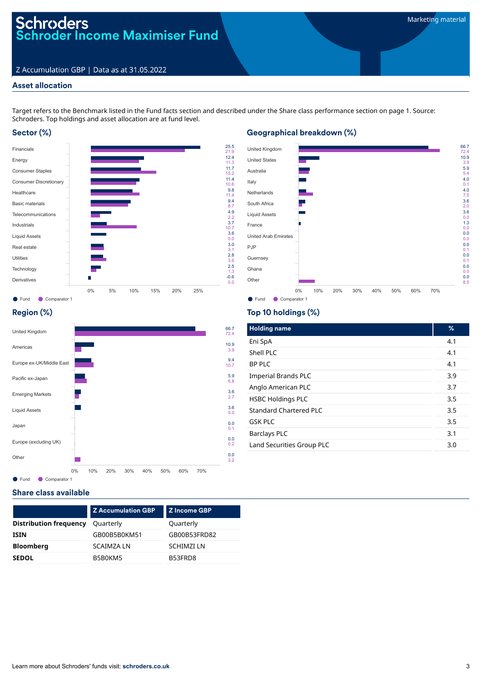# Schroders<br>Schroder Income Maximiser Fund

# Z Accumulation GBP | Data as at 31.05.2022

# Asset allocation

Target refers to the Benchmark listed in the Fund facts section and described under the Share class performance section on page 1. Source: Schroders. Top holdings and asset allocation are at fund level.

2.2 3.7

# Sector (%)



# Geographical breakdown (%)

![](_page_2_Figure_8.jpeg)

# Region (%)

![](_page_2_Figure_10.jpeg)

# Top 10 holdings (%)

| <b>Holding name</b>           | %   |
|-------------------------------|-----|
| Eni SpA                       | 4.1 |
| Shell PLC                     | 4.1 |
| <b>BP PLC</b>                 | 4.1 |
| <b>Imperial Brands PLC</b>    | 3.9 |
| Anglo American PLC            | 3.7 |
| <b>HSBC Holdings PLC</b>      | 3.5 |
| <b>Standard Chartered PLC</b> | 3.5 |
| <b>GSK PLC</b>                | 3.5 |
| <b>Barclays PLC</b>           | 3.1 |
| Land Securities Group PLC     | 3.0 |

# Share class available

|                               | <b>Z Accumulation GBP</b> | <b>Z</b> Income GBP |
|-------------------------------|---------------------------|---------------------|
| <b>Distribution frequency</b> | Quarterly                 | Quarterly           |
| <b>ISIN</b>                   | GB00B5B0KM51              | GB00B53FRD82        |
| <b>Bloomberg</b>              | <b>SCAIMZA LN</b>         | <b>SCHIMZILN</b>    |
| <b>SEDOL</b>                  | B5B0KM5                   | B53FRD8             |